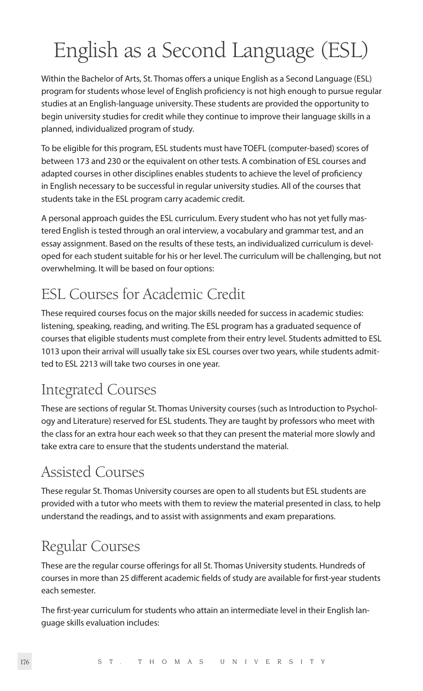# English as a Second Language (ESL)

Within the Bachelor of Arts, St. Thomas offers a unique English as a Second Language (ESL) program for students whose level of English proficiency is not high enough to pursue regular studies at an English-language university. These students are provided the opportunity to begin university studies for credit while they continue to improve their language skills in a planned, individualized program of study.

To be eligible for this program, ESL students must have TOEFL (computer-based) scores of between 173 and 230 or the equivalent on other tests. A combination of ESL courses and adapted courses in other disciplines enables students to achieve the level of proficiency in English necessary to be successful in regular university studies. All of the courses that students take in the ESL program carry academic credit.

A personal approach guides the ESL curriculum. Every student who has not yet fully mastered English is tested through an oral interview, a vocabulary and grammar test, and an essay assignment. Based on the results of these tests, an individualized curriculum is developed for each student suitable for his or her level. The curriculum will be challenging, but not overwhelming. It will be based on four options:

### ESL Courses for Academic Credit

These required courses focus on the major skills needed for success in academic studies: listening, speaking, reading, and writing. The ESL program has a graduated sequence of courses that eligible students must complete from their entry level. Students admitted to ESL 1013 upon their arrival will usually take six ESL courses over two years, while students admitted to ESL 2213 will take two courses in one year.

### Integrated Courses

These are sections of regular St. Thomas University courses (such as Introduction to Psychology and Literature) reserved for ESL students. They are taught by professors who meet with the class for an extra hour each week so that they can present the material more slowly and take extra care to ensure that the students understand the material.

### Assisted Courses

These regular St. Thomas University courses are open to all students but ESL students are provided with a tutor who meets with them to review the material presented in class, to help understand the readings, and to assist with assignments and exam preparations.

### Regular Courses

These are the regular course offerings for all St. Thomas University students. Hundreds of courses in more than 25 different academic fields of study are available for first-year students each semester.

The first-year curriculum for students who attain an intermediate level in their English language skills evaluation includes: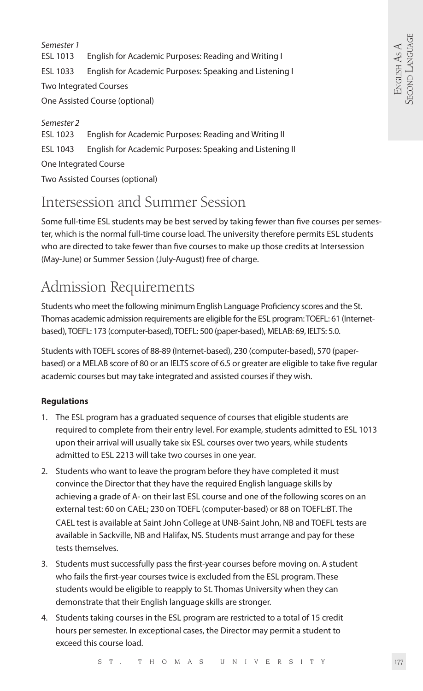*Semester 1*  ESL 1013 English for Academic Purposes: Reading and Writing I ESL 1033 English for Academic Purposes: Speaking and Listening I Two Integrated Courses One Assisted Course (optional)

*Semester 2*  ESL 1023 English for Academic Purposes: Reading and Writing II ESL 1043 English for Academic Purposes: Speaking and Listening II One Integrated Course Two Assisted Courses (optional)

### Intersession and Summer Session

Some full-time ESL students may be best served by taking fewer than five courses per semester, which is the normal full-time course load. The university therefore permits ESL students who are directed to take fewer than five courses to make up those credits at Intersession (May-June) or Summer Session (July-August) free of charge.

## Admission Requirements

Students who meet the following minimum English Language Proficiency scores and the St. Thomas academic admission requirements are eligible for the ESL program: TOEFL: 61 (Internetbased), TOEFL: 173 (computer-based), TOEFL: 500 (paper-based), MELAB: 69, IELTS: 5.0.

Students with TOEFL scores of 88-89 (Internet-based), 230 (computer-based), 570 (paperbased) or a MELAB score of 80 or an IELTS score of 6.5 or greater are eligible to take five regular academic courses but may take integrated and assisted courses if they wish.

#### **Regulations**

- 1. The ESL program has a graduated sequence of courses that eligible students are required to complete from their entry level. For example, students admitted to ESL 1013 upon their arrival will usually take six ESL courses over two years, while students admitted to ESL 2213 will take two courses in one year.
- 2. Students who want to leave the program before they have completed it must convince the Director that they have the required English language skills by achieving a grade of A- on their last ESL course and one of the following scores on an external test: 60 on CAEL; 230 on TOEFL (computer-based) or 88 on TOEFL:BT. The CAEL test is available at Saint John College at UNB-Saint John, NB and TOEFL tests are available in Sackville, NB and Halifax, NS. Students must arrange and pay for these tests themselves.
- 3. Students must successfully pass the first-year courses before moving on. A student who fails the first-year courses twice is excluded from the ESL program. These students would be eligible to reapply to St. Thomas University when they can demonstrate that their English language skills are stronger.
- 4. Students taking courses in the ESL program are restricted to a total of 15 credit hours per semester. In exceptional cases, the Director may permit a student to exceed this course load.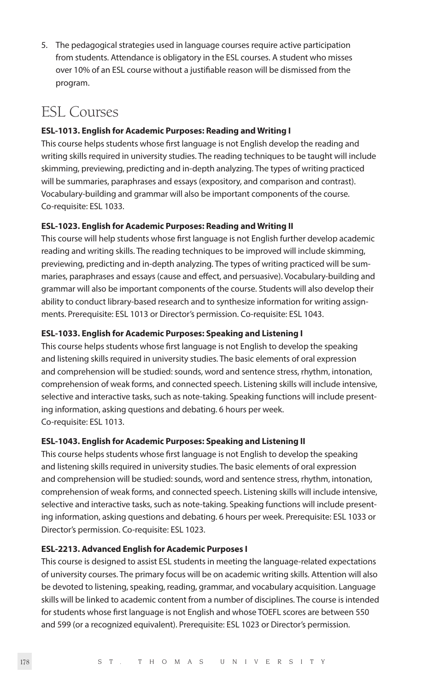5. The pedagogical strategies used in language courses require active participation from students. Attendance is obligatory in the ESL courses. A student who misses over 10% of an ESL course without a justifiable reason will be dismissed from the program.

### ESL Courses

#### **ESL-1013. English for Academic Purposes: Reading and Writing I**

This course helps students whose first language is not English develop the reading and writing skills required in university studies. The reading techniques to be taught will include skimming, previewing, predicting and in-depth analyzing. The types of writing practiced will be summaries, paraphrases and essays (expository, and comparison and contrast). Vocabulary-building and grammar will also be important components of the course. Co-requisite: ESL 1033.

#### **ESL-1023. English for Academic Purposes: Reading and Writing II**

This course will help students whose first language is not English further develop academic reading and writing skills. The reading techniques to be improved will include skimming, previewing, predicting and in-depth analyzing. The types of writing practiced will be summaries, paraphrases and essays (cause and effect, and persuasive). Vocabulary-building and grammar will also be important components of the course. Students will also develop their ability to conduct library-based research and to synthesize information for writing assignments. Prerequisite: ESL 1013 or Director's permission. Co-requisite: ESL 1043.

#### **ESL-1033. English for Academic Purposes: Speaking and Listening I**

This course helps students whose first language is not English to develop the speaking and listening skills required in university studies. The basic elements of oral expression and comprehension will be studied: sounds, word and sentence stress, rhythm, intonation, comprehension of weak forms, and connected speech. Listening skills will include intensive, selective and interactive tasks, such as note-taking. Speaking functions will include presenting information, asking questions and debating. 6 hours per week. Co-requisite: ESL 1013.

#### **ESL-1043. English for Academic Purposes: Speaking and Listening II**

This course helps students whose first language is not English to develop the speaking and listening skills required in university studies. The basic elements of oral expression and comprehension will be studied: sounds, word and sentence stress, rhythm, intonation, comprehension of weak forms, and connected speech. Listening skills will include intensive, selective and interactive tasks, such as note-taking. Speaking functions will include presenting information, asking questions and debating. 6 hours per week. Prerequisite: ESL 1033 or Director's permission. Co-requisite: ESL 1023.

#### **ESL-2213. Advanced English for Academic Purposes I**

This course is designed to assist ESL students in meeting the language-related expectations of university courses. The primary focus will be on academic writing skills. Attention will also be devoted to listening, speaking, reading, grammar, and vocabulary acquisition. Language skills will be linked to academic content from a number of disciplines. The course is intended for students whose first language is not English and whose TOEFL scores are between 550 and 599 (or a recognized equivalent). Prerequisite: ESL 1023 or Director's permission.